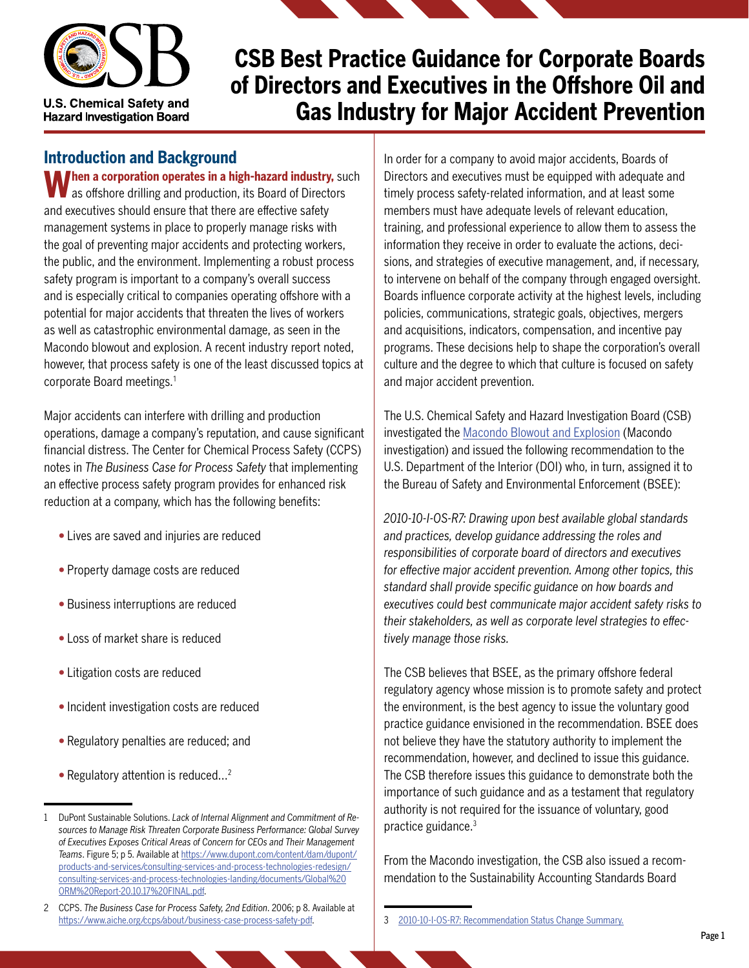

#### **Introduction and Background**

**When a corporation operates in a high-hazard industry, such** as offshore drilling and production, its Board of Directors and executives should ensure that there are effective safety management systems in place to properly manage risks with the goal of preventing major accidents and protecting workers, the public, and the environment. Implementing a robust process safety program is important to a company's overall success and is especially critical to companies operating offshore with a potential for major accidents that threaten the lives of workers as well as catastrophic environmental damage, as seen in the Macondo blowout and explosion. A recent industry report noted, however, that process safety is one of the least discussed topics at corporate Board meetings.<sup>1</sup>

Major accidents can interfere with drilling and production operations, damage a company's reputation, and cause significant financial distress. The Center for Chemical Process Safety (CCPS) notes in *The Business Case for Process Safety* that implementing an effective process safety program provides for enhanced risk reduction at a company, which has the following benefits:

- Lives are saved and injuries are reduced
- Property damage costs are reduced
- Business interruptions are reduced
- Loss of market share is reduced
- Litigation costs are reduced
- Incident investigation costs are reduced
- Regulatory penalties are reduced; and
- Regulatory attention is reduced...<sup>2</sup>

In order for a company to avoid major accidents, Boards of Directors and executives must be equipped with adequate and timely process safety-related information, and at least some members must have adequate levels of relevant education, training, and professional experience to allow them to assess the information they receive in order to evaluate the actions, decisions, and strategies of executive management, and, if necessary, to intervene on behalf of the company through engaged oversight. Boards influence corporate activity at the highest levels, including policies, communications, strategic goals, objectives, mergers and acquisitions, indicators, compensation, and incentive pay programs. These decisions help to shape the corporation's overall culture and the degree to which that culture is focused on safety and major accident prevention.

The U.S. Chemical Safety and Hazard Investigation Board (CSB) investigated the [Macondo Blowout and Explosion](https://www.csb.gov/macondo-blowout-and-explosion/) (Macondo investigation) and issued the following recommendation to the U.S. Department of the Interior (DOI) who, in turn, assigned it to the Bureau of Safety and Environmental Enforcement (BSEE):

*2010-10-I-OS-R7: Drawing upon best available global standards and practices, develop guidance addressing the roles and responsibilities of corporate board of directors and executives for effective major accident prevention. Among other topics, this standard shall provide specific guidance on how boards and executives could best communicate major accident safety risks to their stakeholders, as well as corporate level strategies to effectively manage those risks.*

The CSB believes that BSEE, as the primary offshore federal regulatory agency whose mission is to promote safety and protect the environment, is the best agency to issue the voluntary good practice guidance envisioned in the recommendation. BSEE does not believe they have the statutory authority to implement the recommendation, however, and declined to issue this guidance. The CSB therefore issues this guidance to demonstrate both the importance of such guidance and as a testament that regulatory authority is not required for the issuance of voluntary, good practice guidance.<sup>3</sup>

From the Macondo investigation, the CSB also issued a recommendation to the Sustainability Accounting Standards Board

<sup>1</sup> DuPont Sustainable Solutions. *Lack of Internal Alignment and Commitment of Resources to Manage Risk Threaten Corporate Business Performance: Global Survey of Executives Exposes Critical Areas of Concern for CEOs and Their Management Teams*. Figure 5; p 5. Available at [https://www.dupont.com/content/dam/dupont/](https://www.dupont.com/content/dam/dupont/products-and-services/consulting-services-and-process-technologies-redesign/consulting-services-and-process-technologies-landing/documents/Global%20ORM%20Report-20.10.17%20FINAL.pdf) [products-and-services/consulting-services-and-process-technologies-redesign/](https://www.dupont.com/content/dam/dupont/products-and-services/consulting-services-and-process-technologies-redesign/consulting-services-and-process-technologies-landing/documents/Global%20ORM%20Report-20.10.17%20FINAL.pdf) [consulting-services-and-process-technologies-landing/documents/Global%20](https://www.dupont.com/content/dam/dupont/products-and-services/consulting-services-and-process-technologies-redesign/consulting-services-and-process-technologies-landing/documents/Global%20ORM%20Report-20.10.17%20FINAL.pdf) [ORM%20Report-20.10.17%20FINAL.pdf.](https://www.dupont.com/content/dam/dupont/products-and-services/consulting-services-and-process-technologies-redesign/consulting-services-and-process-technologies-landing/documents/Global%20ORM%20Report-20.10.17%20FINAL.pdf)

<sup>2</sup> CCPS. *The Business Case for Process Safety, 2nd Edition*. 2006; p 8. Available at <https://www.aiche.org/ccps/about/business-case-process-safety-pdf>.

<sup>3</sup> [2010-10-I-OS-R7: Recommendation Status Change Summary](https://www.csb.gov/assets/recommendation/status_change_summary_bsee_(macondo_r7)_c-ua__nov_14__2017.pdf).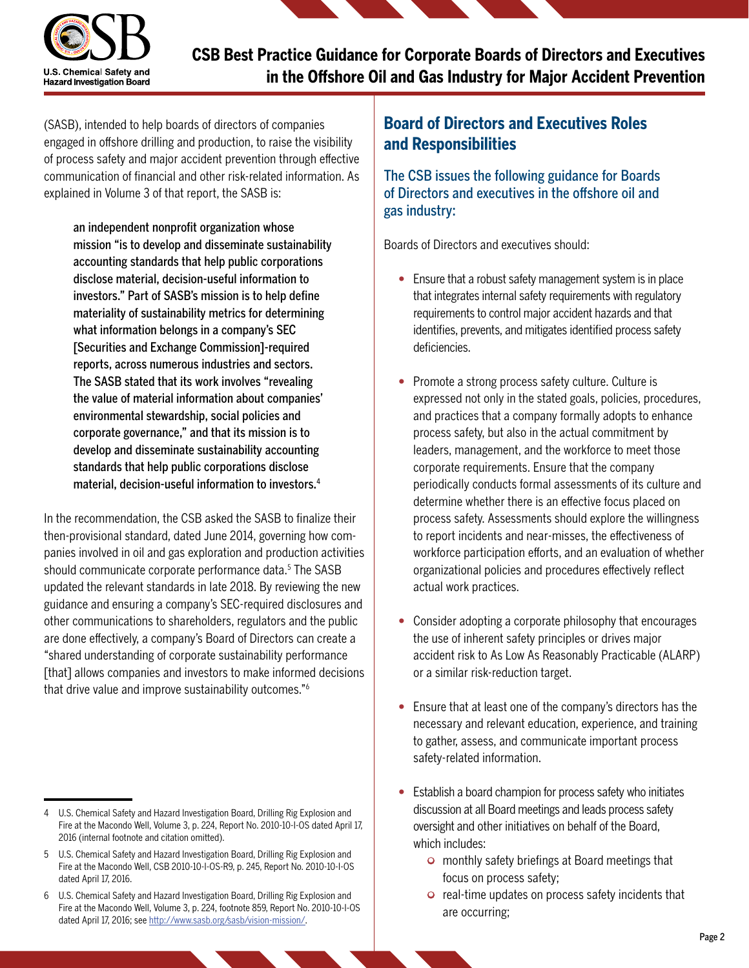

(SASB), intended to help boards of directors of companies engaged in offshore drilling and production, to raise the visibility of process safety and major accident prevention through effective communication of financial and other risk-related information. As explained in Volume 3 of that report, the SASB is:

an independent nonprofit organization whose mission "is to develop and disseminate sustainability accounting standards that help public corporations disclose material, decision-useful information to investors." Part of SASB's mission is to help define materiality of sustainability metrics for determining what information belongs in a company's SEC [Securities and Exchange Commission]-required reports, across numerous industries and sectors. The SASB stated that its work involves "revealing the value of material information about companies' environmental stewardship, social policies and corporate governance," and that its mission is to develop and disseminate sustainability accounting standards that help public corporations disclose material, decision-useful information to investors.<sup>4</sup>

In the recommendation, the CSB asked the SASB to finalize their then-provisional standard, dated June 2014, governing how companies involved in oil and gas exploration and production activities should communicate corporate performance data.<sup>5</sup> The SASB updated the relevant standards in late 2018. By reviewing the new guidance and ensuring a company's SEC-required disclosures and other communications to shareholders, regulators and the public are done effectively, a company's Board of Directors can create a "shared understanding of corporate sustainability performance [that] allows companies and investors to make informed decisions that drive value and improve sustainability outcomes."<sup>6</sup>

## **Board of Directors and Executives Roles and Responsibilities**

The CSB issues the following guidance for Boards of Directors and executives in the offshore oil and gas industry:

Boards of Directors and executives should:

- Ensure that a robust safety management system is in place that integrates internal safety requirements with regulatory requirements to control major accident hazards and that identifies, prevents, and mitigates identified process safety deficiencies.
- Promote a strong process safety culture. Culture is expressed not only in the stated goals, policies, procedures, and practices that a company formally adopts to enhance process safety, but also in the actual commitment by leaders, management, and the workforce to meet those corporate requirements. Ensure that the company periodically conducts formal assessments of its culture and determine whether there is an effective focus placed on process safety. Assessments should explore the willingness to report incidents and near-misses, the effectiveness of workforce participation efforts, and an evaluation of whether organizational policies and procedures effectively reflect actual work practices.
- Consider adopting a corporate philosophy that encourages the use of inherent safety principles or drives major accident risk to As Low As Reasonably Practicable (ALARP) or a similar risk-reduction target.
- Ensure that at least one of the company's directors has the necessary and relevant education, experience, and training to gather, assess, and communicate important process safety-related information.
- Establish a board champion for process safety who initiates discussion at all Board meetings and leads process safety oversight and other initiatives on behalf of the Board, which includes:
	- monthly safety briefings at Board meetings that focus on process safety;
	- real-time updates on process safety incidents that are occurring;

<sup>4</sup> U.S. Chemical Safety and Hazard Investigation Board, Drilling Rig Explosion and Fire at the Macondo Well, Volume 3, p. 224, Report No. 2010-10-I-OS dated April 17, 2016 (internal footnote and citation omitted).

<sup>5</sup> U.S. Chemical Safety and Hazard Investigation Board, Drilling Rig Explosion and Fire at the Macondo Well, CSB 2010-10-I-OS-R9, p. 245, Report No. 2010-10-I-OS dated April 17, 2016.

<sup>6</sup> U.S. Chemical Safety and Hazard Investigation Board, Drilling Rig Explosion and Fire at the Macondo Well, Volume 3, p. 224, footnote 859, Report No. 2010-10-I-OS dated April 17, 2016; see [http://www.sasb.org/sasb/vision-mission/.](http://www.sasb.org/sasb/vision-mission/)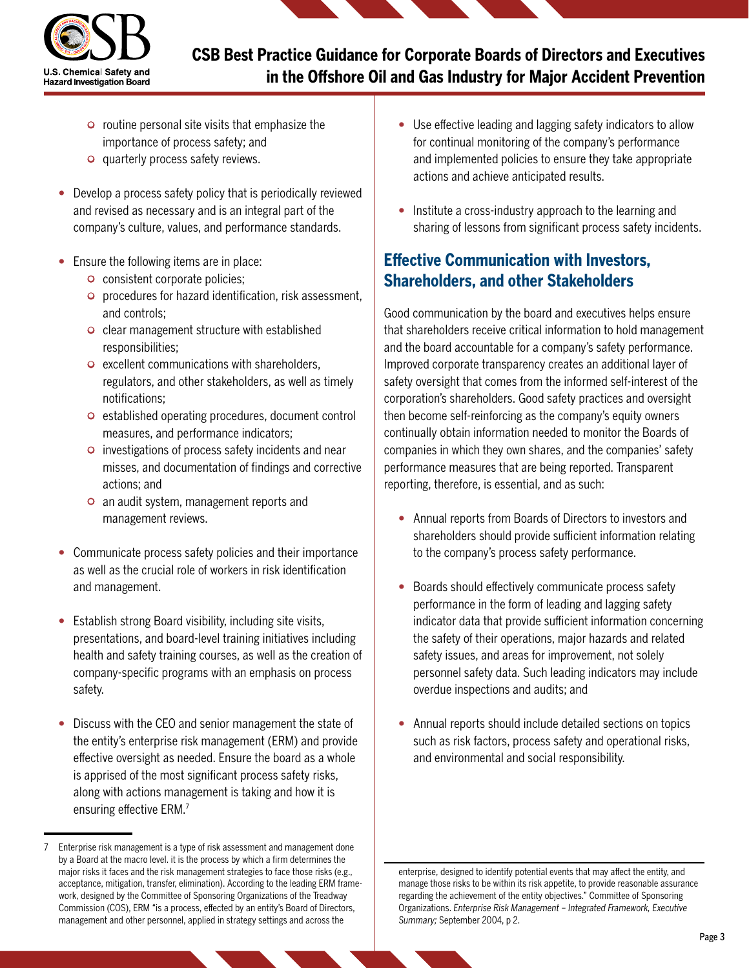

- $\circ$  routine personal site visits that emphasize the importance of process safety; and
- quarterly process safety reviews.
- Develop a process safety policy that is periodically reviewed and revised as necessary and is an integral part of the company's culture, values, and performance standards.
- Ensure the following items are in place:
	- consistent corporate policies;
	- procedures for hazard identification, risk assessment, and controls;
	- clear management structure with established responsibilities;
	- excellent communications with shareholders, regulators, and other stakeholders, as well as timely notifications;
	- established operating procedures, document control measures, and performance indicators;
	- investigations of process safety incidents and near misses, and documentation of findings and corrective actions; and
	- an audit system, management reports and management reviews.
- Communicate process safety policies and their importance as well as the crucial role of workers in risk identification and management.
- Establish strong Board visibility, including site visits, presentations, and board-level training initiatives including health and safety training courses, as well as the creation of company-specific programs with an emphasis on process safety.
- Discuss with the CEO and senior management the state of the entity's enterprise risk management (ERM) and provide effective oversight as needed. Ensure the board as a whole is apprised of the most significant process safety risks, along with actions management is taking and how it is ensuring effective ERM.<sup>7</sup>
- Use effective leading and lagging safety indicators to allow for continual monitoring of the company's performance and implemented policies to ensure they take appropriate actions and achieve anticipated results.
- Institute a cross-industry approach to the learning and sharing of lessons from significant process safety incidents.

## **Effective Communication with Investors, Shareholders, and other Stakeholders**

Good communication by the board and executives helps ensure that shareholders receive critical information to hold management and the board accountable for a company's safety performance. Improved corporate transparency creates an additional layer of safety oversight that comes from the informed self-interest of the corporation's shareholders. Good safety practices and oversight then become self-reinforcing as the company's equity owners continually obtain information needed to monitor the Boards of companies in which they own shares, and the companies' safety performance measures that are being reported. Transparent reporting, therefore, is essential, and as such:

- Annual reports from Boards of Directors to investors and shareholders should provide sufficient information relating to the company's process safety performance.
- Boards should effectively communicate process safety performance in the form of leading and lagging safety indicator data that provide sufficient information concerning the safety of their operations, major hazards and related safety issues, and areas for improvement, not solely personnel safety data. Such leading indicators may include overdue inspections and audits; and
- Annual reports should include detailed sections on topics such as risk factors, process safety and operational risks, and environmental and social responsibility.

enterprise, designed to identify potential events that may affect the entity, and manage those risks to be within its risk appetite, to provide reasonable assurance regarding the achievement of the entity objectives." Committee of Sponsoring Organizations. *Enterprise Risk Management – Integrated Framework, Executive Summary;* September 2004, p 2.

<sup>7</sup> Enterprise risk management is a type of risk assessment and management done by a Board at the macro level. it is the process by which a firm determines the major risks it faces and the risk management strategies to face those risks (e.g., acceptance, mitigation, transfer, elimination). According to the leading ERM framework, designed by the Committee of Sponsoring Organizations of the Treadway Commission (COS), ERM "is a process, effected by an entity's Board of Directors, management and other personnel, applied in strategy settings and across the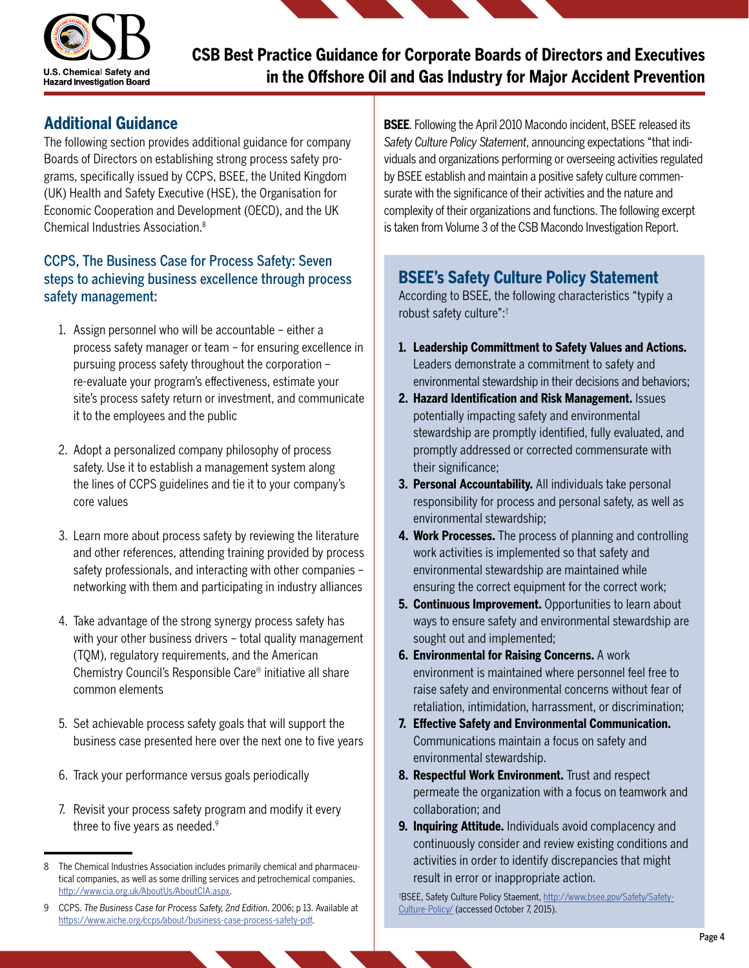

#### **Additional Guidance**

The following section provides additional guidance for company Boards of Directors on establishing strong process safety programs, specifically issued by CCPS, BSEE, the United Kingdom (UK) Health and Safety Executive (HSE), the Organisation for Economic Cooperation and Development (OECD), and the UK Chemical Industries Association.<sup>8</sup>

#### CCPS, The Business Case for Process Safety: Seven steps to achieving business excellence through process safety management:

- 1. Assign personnel who will be accountable either a process safety manager or team – for ensuring excellence in pursuing process safety throughout the corporation – re-evaluate your program's effectiveness, estimate your site's process safety return or investment, and communicate it to the employees and the public
- 2. Adopt a personalized company philosophy of process safety. Use it to establish a management system along the lines of CCPS guidelines and tie it to your company's core values
- 3. Learn more about process safety by reviewing the literature and other references, attending training provided by process safety professionals, and interacting with other companies – networking with them and participating in industry alliances
- 4. Take advantage of the strong synergy process safety has with your other business drivers – total quality management (TQM), regulatory requirements, and the American Chemistry Council's Responsible Care® initiative all share common elements
- 5. Set achievable process safety goals that will support the business case presented here over the next one to five years
- 6. Track your performance versus goals periodically
- 7. Revisit your process safety program and modify it every three to five years as needed.<sup>9</sup>

**BSEE**. Following the April 2010 Macondo incident, BSEE released its *Safety Culture Policy Statement*, announcing expectations "that individuals and organizations performing or overseeing activities regulated by BSEE establish and maintain a positive safety culture commensurate with the significance of their activities and the nature and complexity of their organizations and functions. The following excerpt is taken from Volume 3 of the CSB Macondo Investigation Report.

## **BSEE's Safety Culture Policy Statement**

According to BSEE, the following characteristics "typify a robust safety culture":†

- **1. Leadership Committment to Safety Values and Actions.**  Leaders demonstrate a commitment to safety and environmental stewardship in their decisions and behaviors;
- **2. Hazard Identification and Risk Management.** Issues potentially impacting safety and environmental stewardship are promptly identified, fully evaluated, and promptly addressed or corrected commensurate with their significance;
- **3. Personal Accountability.** All individuals take personal responsibility for process and personal safety, as well as environmental stewardship;
- **4. Work Processes.** The process of planning and controlling work activities is implemented so that safety and environmental stewardship are maintained while ensuring the correct equipment for the correct work;
- **5. Continuous Improvement.** Opportunities to learn about ways to ensure safety and environmental stewardship are sought out and implemented;
- **6. Environmental for Raising Concerns.** A work environment is maintained where personnel feel free to raise safety and environmental concerns without fear of retaliation, intimidation, harrassment, or discrimination;
- **7. Effective Safety and Environmental Communication.**  Communications maintain a focus on safety and environmental stewardship.
- **8. Respectful Work Environment.** Trust and respect permeate the organization with a focus on teamwork and collaboration; and
- **9. Inquiring Attitude.** Individuals avoid complacency and continuously consider and review existing conditions and activities in order to identify discrepancies that might result in error or inappropriate action.

† BSEE, Safety Culture Policy Staement, [http://www.bsee.gov/Safety/Safety-](http://www.bsee.gov/Safety/Safety-Culture-Policy/)[Culture-Policy/](http://www.bsee.gov/Safety/Safety-Culture-Policy/) (accessed October 7, 2015).

<sup>8</sup> The Chemical Industries Association includes primarily chemical and pharmaceutical companies, as well as some drilling services and petrochemical companies, [http://www.cia.org.uk/AboutUs/AboutCIA.aspx.](http://www.cia.org.uk/AboutUs/AboutCIA.aspx)

<sup>9</sup> CCPS. *The Business Case for Process Safety, 2nd Edition*. 2006; p 13. Available at <https://www.aiche.org/ccps/about/business-case-process-safety-pdf>.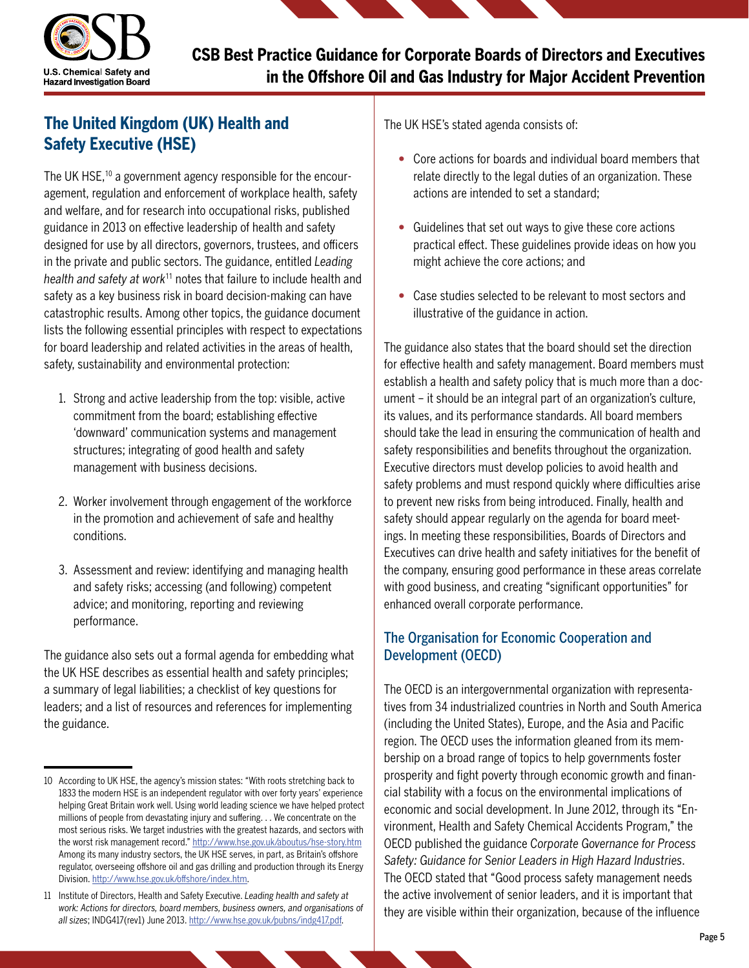

# **The United Kingdom (UK) Health and Safety Executive (HSE)**

The UK HSE,<sup>10</sup> a government agency responsible for the encouragement, regulation and enforcement of workplace health, safety and welfare, and for research into occupational risks, published guidance in 2013 on effective leadership of health and safety designed for use by all directors, governors, trustees, and officers in the private and public sectors. The guidance, entitled *Leading health and safety at work*11 notes that failure to include health and safety as a key business risk in board decision-making can have catastrophic results. Among other topics, the guidance document lists the following essential principles with respect to expectations for board leadership and related activities in the areas of health, safety, sustainability and environmental protection:

- 1. Strong and active leadership from the top: visible, active commitment from the board; establishing effective 'downward' communication systems and management structures; integrating of good health and safety management with business decisions.
- 2. Worker involvement through engagement of the workforce in the promotion and achievement of safe and healthy conditions.
- 3. Assessment and review: identifying and managing health and safety risks; accessing (and following) competent advice; and monitoring, reporting and reviewing performance.

The guidance also sets out a formal agenda for embedding what the UK HSE describes as essential health and safety principles; a summary of legal liabilities; a checklist of key questions for leaders; and a list of resources and references for implementing the guidance.

The UK HSE's stated agenda consists of:

- Core actions for boards and individual board members that relate directly to the legal duties of an organization. These actions are intended to set a standard;
- Guidelines that set out ways to give these core actions practical effect. These guidelines provide ideas on how you might achieve the core actions; and
- Case studies selected to be relevant to most sectors and illustrative of the guidance in action.

The guidance also states that the board should set the direction for effective health and safety management. Board members must establish a health and safety policy that is much more than a document – it should be an integral part of an organization's culture, its values, and its performance standards. All board members should take the lead in ensuring the communication of health and safety responsibilities and benefits throughout the organization. Executive directors must develop policies to avoid health and safety problems and must respond quickly where difficulties arise to prevent new risks from being introduced. Finally, health and safety should appear regularly on the agenda for board meetings. In meeting these responsibilities, Boards of Directors and Executives can drive health and safety initiatives for the benefit of the company, ensuring good performance in these areas correlate with good business, and creating "significant opportunities" for enhanced overall corporate performance.

#### The Organisation for Economic Cooperation and Development (OECD)

The OECD is an intergovernmental organization with representatives from 34 industrialized countries in North and South America (including the United States), Europe, and the Asia and Pacific region. The OECD uses the information gleaned from its membership on a broad range of topics to help governments foster prosperity and fight poverty through economic growth and financial stability with a focus on the environmental implications of economic and social development. In June 2012, through its "Environment, Health and Safety Chemical Accidents Program," the OECD published the guidance *Corporate Governance for Process Safety: Guidance for Senior Leaders in High Hazard Industries*. The OECD stated that "Good process safety management needs the active involvement of senior leaders, and it is important that they are visible within their organization, because of the influence

<sup>10</sup> According to UK HSE, the agency's mission states: "With roots stretching back to 1833 the modern HSE is an independent regulator with over forty years' experience helping Great Britain work well. Using world leading science we have helped protect millions of people from devastating injury and suffering. . . We concentrate on the most serious risks. We target industries with the greatest hazards, and sectors with the worst risk management record." <http://www.hse.gov.uk/aboutus/hse-story.htm> Among its many industry sectors, the UK HSE serves, in part, as Britain's offshore regulator, overseeing offshore oil and gas drilling and production through its Energy Division.<http://www.hse.gov.uk/offshore/index.htm>.

<sup>11</sup> Institute of Directors, Health and Safety Executive. *Leading health and safety at work: Actions for directors, board members, business owners, and organisations of all sizes*; INDG417(rev1) June 2013. <http://www.hse.gov.uk/pubns/indg417.pdf>.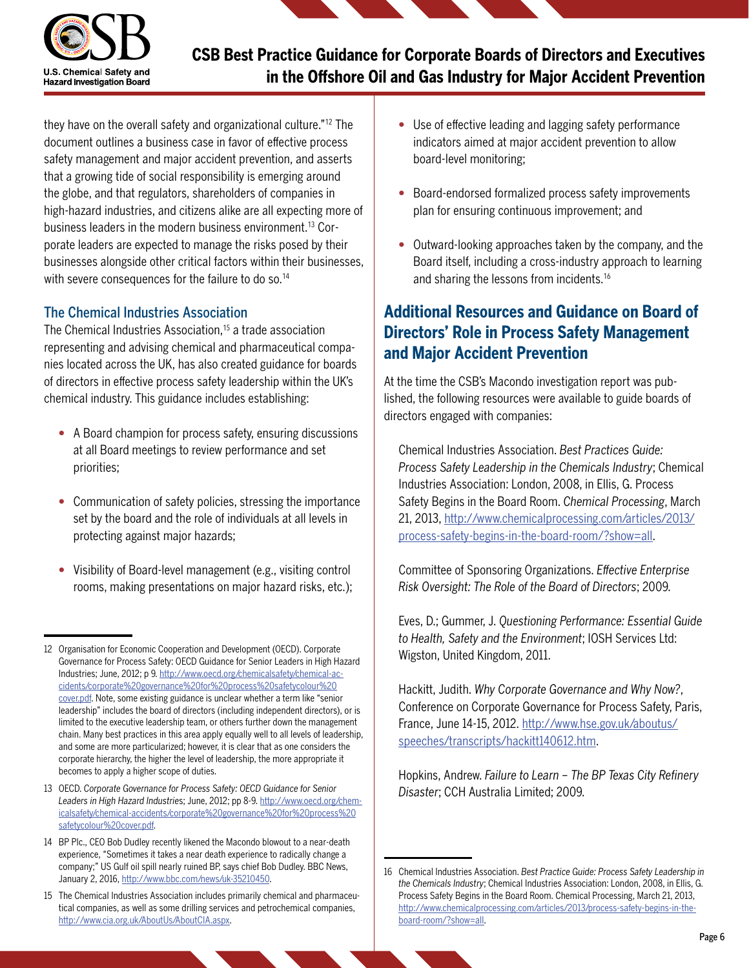

they have on the overall safety and organizational culture."12 The document outlines a business case in favor of effective process safety management and major accident prevention, and asserts that a growing tide of social responsibility is emerging around the globe, and that regulators, shareholders of companies in high-hazard industries, and citizens alike are all expecting more of business leaders in the modern business environment.13 Corporate leaders are expected to manage the risks posed by their businesses alongside other critical factors within their businesses, with severe consequences for the failure to do so.<sup>14</sup>

#### The Chemical Industries Association

The Chemical Industries Association,<sup>15</sup> a trade association representing and advising chemical and pharmaceutical companies located across the UK, has also created guidance for boards of directors in effective process safety leadership within the UK's chemical industry. This guidance includes establishing:

- A Board champion for process safety, ensuring discussions at all Board meetings to review performance and set priorities;
- Communication of safety policies, stressing the importance set by the board and the role of individuals at all levels in protecting against major hazards;
- Visibility of Board-level management (e.g., visiting control rooms, making presentations on major hazard risks, etc.);
- Use of effective leading and lagging safety performance indicators aimed at major accident prevention to allow board-level monitoring;
- Board-endorsed formalized process safety improvements plan for ensuring continuous improvement; and
- Outward-looking approaches taken by the company, and the Board itself, including a cross-industry approach to learning and sharing the lessons from incidents.<sup>16</sup>

### **Additional Resources and Guidance on Board of Directors' Role in Process Safety Management and Major Accident Prevention**

At the time the CSB's Macondo investigation report was published, the following resources were available to guide boards of directors engaged with companies:

Chemical Industries Association. *Best Practices Guide: Process Safety Leadership in the Chemicals Industry*; Chemical Industries Association: London, 2008, in Ellis, G. Process Safety Begins in the Board Room. *Chemical Processing*, March 21, 2013, [http://www.chemicalprocessing.com/articles/2013/](http://www.chemicalprocessing.com/articles/2013/process-safety-begins-in-the-board-room/?show=all) [process-safety-begins-in-the-board-room/?show=all.](http://www.chemicalprocessing.com/articles/2013/process-safety-begins-in-the-board-room/?show=all)

Committee of Sponsoring Organizations. *Effective Enterprise Risk Oversight: The Role of the Board of Directors*; 2009.

Eves, D.; Gummer, J. *Questioning Performance: Essential Guide to Health, Safety and the Environment*; IOSH Services Ltd: Wigston, United Kingdom, 2011.

Hackitt, Judith. *Why Corporate Governance and Why Now?*, Conference on Corporate Governance for Process Safety, Paris, France, June 14-15, 2012. [http://www.hse.gov.uk/aboutus/](http://www.hse.gov.uk/aboutus/speeches/transcripts/hackitt140612.htm) [speeches/transcripts/hackitt140612.htm](http://www.hse.gov.uk/aboutus/speeches/transcripts/hackitt140612.htm).

Hopkins, Andrew. *Failure to Learn – The BP Texas City Refinery Disaster*; CCH Australia Limited; 2009.

<sup>12</sup> Organisation for Economic Cooperation and Development (OECD). Corporate Governance for Process Safety: OECD Guidance for Senior Leaders in High Hazard Industries; June, 2012; p 9. [http://www.oecd.org/chemicalsafety/chemical-ac](http://www.oecd.org/chemicalsafety/chemical-accidents/corporate%20governance%20for%20process%20safetycolour%20cover.pdf)[cidents/corporate%20governance%20for%20process%20safetycolour%20](http://www.oecd.org/chemicalsafety/chemical-accidents/corporate%20governance%20for%20process%20safetycolour%20cover.pdf) [cover.pdf.](http://www.oecd.org/chemicalsafety/chemical-accidents/corporate%20governance%20for%20process%20safetycolour%20cover.pdf) Note, some existing guidance is unclear whether a term like "senior leadership" includes the board of directors (including independent directors), or is limited to the executive leadership team, or others further down the management chain. Many best practices in this area apply equally well to all levels of leadership, and some are more particularized; however, it is clear that as one considers the corporate hierarchy, the higher the level of leadership, the more appropriate it becomes to apply a higher scope of duties.

<sup>13</sup> OECD. *Corporate Governance for Process Safety: OECD Guidance for Senior Leaders in High Hazard Industrie*s; June, 2012; pp 8-9. [http://www.oecd.org/chem](http://www.oecd.org/chemicalsafety/chemical-accidents/corporate%20governance%20for%20process%20safetycolour%20cover.pdf)[icalsafety/chemical-accidents/corporate%20governance%20for%20process%20](http://www.oecd.org/chemicalsafety/chemical-accidents/corporate%20governance%20for%20process%20safetycolour%20cover.pdf) [safetycolour%20cover.pdf.](http://www.oecd.org/chemicalsafety/chemical-accidents/corporate%20governance%20for%20process%20safetycolour%20cover.pdf)

<sup>14</sup> BP Plc., CEO Bob Dudley recently likened the Macondo blowout to a near-death experience, "Sometimes it takes a near death experience to radically change a company;" US Gulf oil spill nearly ruined BP, says chief Bob Dudley. BBC News, January 2, 2016, <http://www.bbc.com/news/uk-35210450>.

<sup>15</sup> The Chemical Industries Association includes primarily chemical and pharmaceutical companies, as well as some drilling services and petrochemical companies, [http://www.cia.org.uk/AboutUs/AboutCIA.aspx.](http://www.cia.org.uk/AboutUs/AboutCIA.aspx)

<sup>16</sup> Chemical Industries Association. *Best Practice Guide: Process Safety Leadership in the Chemicals Industry*; Chemical Industries Association: London, 2008, in Ellis, G. Process Safety Begins in the Board Room. Chemical Processing, March 21, 2013, [http://www.chemicalprocessing.com/articles/2013/process-safety-begins-in-the](http://www.chemicalprocessing.com/articles/2013/process-safety-begins-in-theboard-room/?show=all)[board-room/?show=all.](http://www.chemicalprocessing.com/articles/2013/process-safety-begins-in-theboard-room/?show=all)